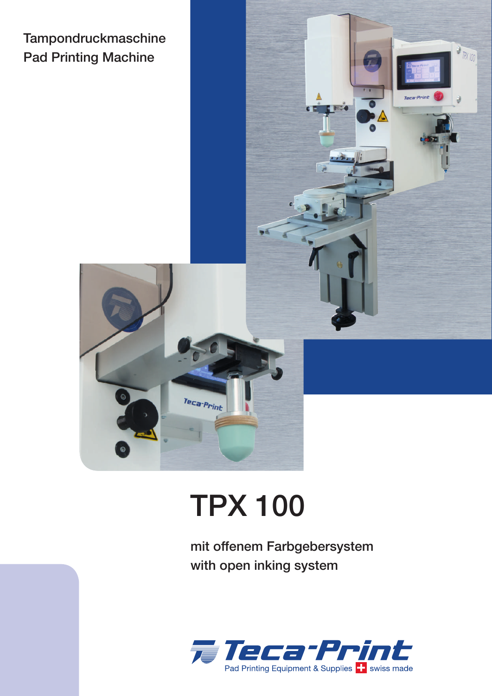Tampondruckmaschine Pad Printing Machine



## TPX 100

mit offenem Farbgebersystem with open inking system



**EX 100** 

 $= 0$